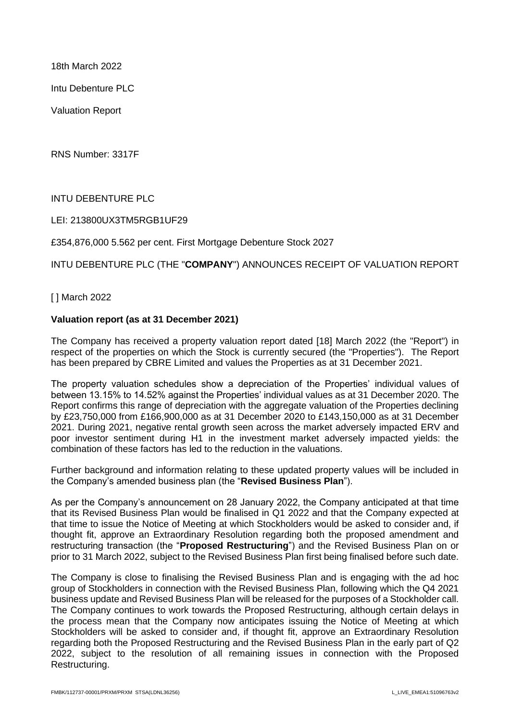18th March 2022

Intu Debenture PLC

Valuation Report

RNS Number: 3317F

# INTU DEBENTURE PLC

LEI: 213800UX3TM5RGB1UF29

£354,876,000 5.562 per cent. First Mortgage Debenture Stock 2027

# INTU DEBENTURE PLC (THE "**COMPANY**") ANNOUNCES RECEIPT OF VALUATION REPORT

[ ] March 2022

### **Valuation report (as at 31 December 2021)**

The Company has received a property valuation report dated [18] March 2022 (the "Report") in respect of the properties on which the Stock is currently secured (the "Properties"). The Report has been prepared by CBRE Limited and values the Properties as at 31 December 2021.

The property valuation schedules show a depreciation of the Properties' individual values of between 13.15% to 14.52% against the Properties' individual values as at 31 December 2020. The Report confirms this range of depreciation with the aggregate valuation of the Properties declining by £23,750,000 from £166,900,000 as at 31 December 2020 to £143,150,000 as at 31 December 2021. During 2021, negative rental growth seen across the market adversely impacted ERV and poor investor sentiment during H1 in the investment market adversely impacted yields: the combination of these factors has led to the reduction in the valuations.

Further background and information relating to these updated property values will be included in the Company's amended business plan (the "**Revised Business Plan**").

As per the Company's announcement on 28 January 2022, the Company anticipated at that time that its Revised Business Plan would be finalised in Q1 2022 and that the Company expected at that time to issue the Notice of Meeting at which Stockholders would be asked to consider and, if thought fit, approve an Extraordinary Resolution regarding both the proposed amendment and restructuring transaction (the "**Proposed Restructuring**") and the Revised Business Plan on or prior to 31 March 2022, subject to the Revised Business Plan first being finalised before such date.

The Company is close to finalising the Revised Business Plan and is engaging with the ad hoc group of Stockholders in connection with the Revised Business Plan, following which the Q4 2021 business update and Revised Business Plan will be released for the purposes of a Stockholder call. The Company continues to work towards the Proposed Restructuring, although certain delays in the process mean that the Company now anticipates issuing the Notice of Meeting at which Stockholders will be asked to consider and, if thought fit, approve an Extraordinary Resolution regarding both the Proposed Restructuring and the Revised Business Plan in the early part of Q2 2022, subject to the resolution of all remaining issues in connection with the Proposed Restructuring.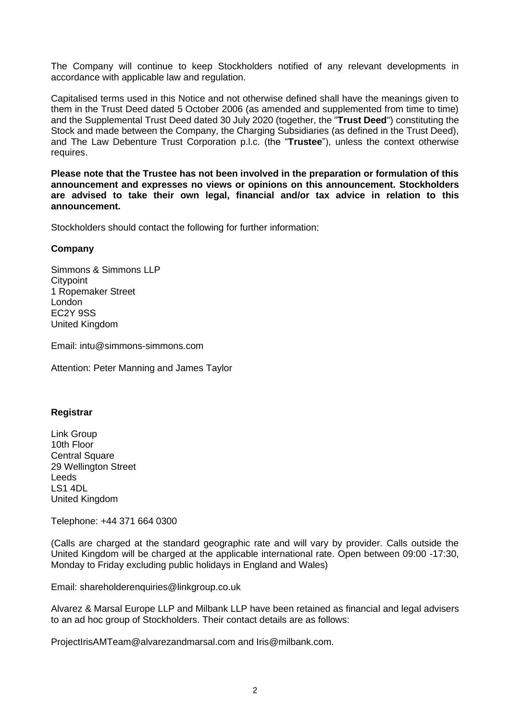The Company will continue to keep Stockholders notified of any relevant developments in accordance with applicable law and regulation.

Capitalised terms used in this Notice and not otherwise defined shall have the meanings given to them in the Trust Deed dated 5 October 2006 (as amended and supplemented from time to time) and the Supplemental Trust Deed dated 30 July 2020 (together, the "**Trust Deed**") constituting the Stock and made between the Company, the Charging Subsidiaries (as defined in the Trust Deed), and The Law Debenture Trust Corporation p.l.c. (the "**Trustee**"), unless the context otherwise requires.

**Please note that the Trustee has not been involved in the preparation or formulation of this announcement and expresses no views or opinions on this announcement. Stockholders are advised to take their own legal, financial and/or tax advice in relation to this announcement.** 

Stockholders should contact the following for further information:

# **Company**

Simmons & Simmons LLP **Citypoint** 1 Ropemaker Street London EC2Y 9SS United Kingdom

Email: intu@simmons-simmons.com

Attention: Peter Manning and James Taylor

# **Registrar**

Link Group 10th Floor Central Square 29 Wellington Street Leeds LS1 4DL United Kingdom

Telephone: +44 371 664 0300

(Calls are charged at the standard geographic rate and will vary by provider. Calls outside the United Kingdom will be charged at the applicable international rate. Open between 09:00 -17:30, Monday to Friday excluding public holidays in England and Wales)

Email: shareholderenquiries@linkgroup.co.uk

Alvarez & Marsal Europe LLP and Milbank LLP have been retained as financial and legal advisers to an ad hoc group of Stockholders. Their contact details are as follows:

ProjectIrisAMTeam@alvarezandmarsal.com and Iris@milbank.com.